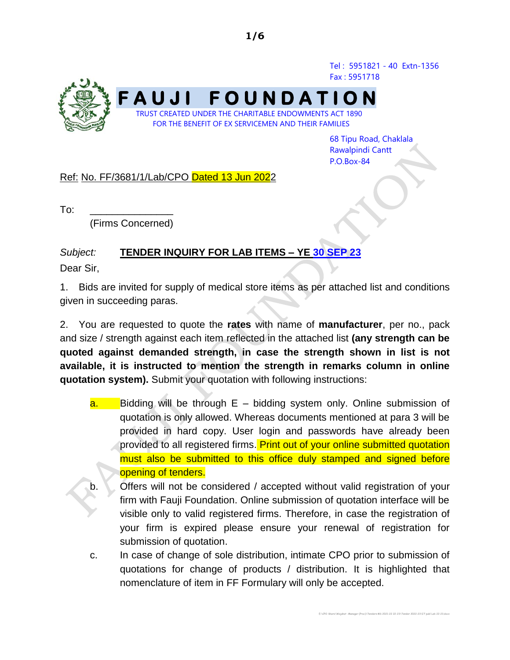Tel : 5951821 - 40 Extn-1356 Fax : 5951718



68 Tipu Road, Chaklala Rawalpindi Cantt P.O.Box-84

E:\CPO Share\Wajahat -Manager (Proc)\Tenders MS 2021-22 22-23\Tender 2022-23\IT publ Lab 22-23.docx

Ref: No. FF/3681/1/Lab/CPO Dated 13 Jun 2022

 $To:$ 

(Firms Concerned)

## *Subject:* **TENDER INQUIRY FOR LAB ITEMS – YE 30 SEP 23**

Dear Sir,

1. Bids are invited for supply of medical store items as per attached list and conditions given in succeeding paras.

2. You are requested to quote the **rates** with name of **manufacturer**, per no., pack and size / strength against each item reflected in the attached list **(any strength can be quoted against demanded strength, in case the strength shown in list is not available, it is instructed to mention the strength in remarks column in online quotation system).** Submit your quotation with following instructions:

- $a.$  Bidding will be through  $E b$ idding system only. Online submission of quotation is only allowed. Whereas documents mentioned at para 3 will be provided in hard copy. User login and passwords have already been provided to all registered firms. Print out of your online submitted quotation must also be submitted to this office duly stamped and signed before opening of tenders.
- b. Offers will not be considered / accepted without valid registration of your firm with Fauji Foundation. Online submission of quotation interface will be visible only to valid registered firms. Therefore, in case the registration of your firm is expired please ensure your renewal of registration for submission of quotation.
- c. In case of change of sole distribution, intimate CPO prior to submission of quotations for change of products / distribution. It is highlighted that nomenclature of item in FF Formulary will only be accepted.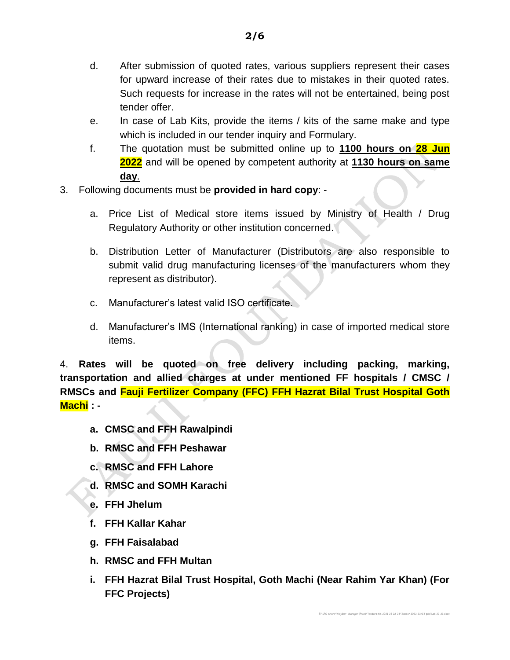**2/6**

- for upward increase of their rates due to mistakes in their quoted rates. Such requests for increase in the rates will not be entertained, being post tender offer.
- e. In case of Lab Kits, provide the items / kits of the same make and type which is included in our tender inquiry and Formulary.
- f. The quotation must be submitted online up to **1100 hours on 28 Jun 2022** and will be opened by competent authority at **1130 hours on same day**.
- 3. Following documents must be **provided in hard copy**:
	- a. Price List of Medical store items issued by Ministry of Health / Drug Regulatory Authority or other institution concerned.
	- b. Distribution Letter of Manufacturer (Distributors are also responsible to submit valid drug manufacturing licenses of the manufacturers whom they represent as distributor).
	- c. Manufacturer's latest valid ISO certificate.
	- d. Manufacturer's IMS (International ranking) in case of imported medical store items.

4. **Rates will be quoted on free delivery including packing, marking, transportation and allied charges at under mentioned FF hospitals / CMSC / RMSCs and Fauji Fertilizer Company (FFC) FFH Hazrat Bilal Trust Hospital Goth Machi : -**

- **a. CMSC and FFH Rawalpindi**
- **b. RMSC and FFH Peshawar**
- **c. RMSC and FFH Lahore**
- **d. RMSC and SOMH Karachi**
- **e. FFH Jhelum**
- **f. FFH Kallar Kahar**
- **g. FFH Faisalabad**
- **h. RMSC and FFH Multan**
- **i. FFH Hazrat Bilal Trust Hospital, Goth Machi (Near Rahim Yar Khan) (For FFC Projects)**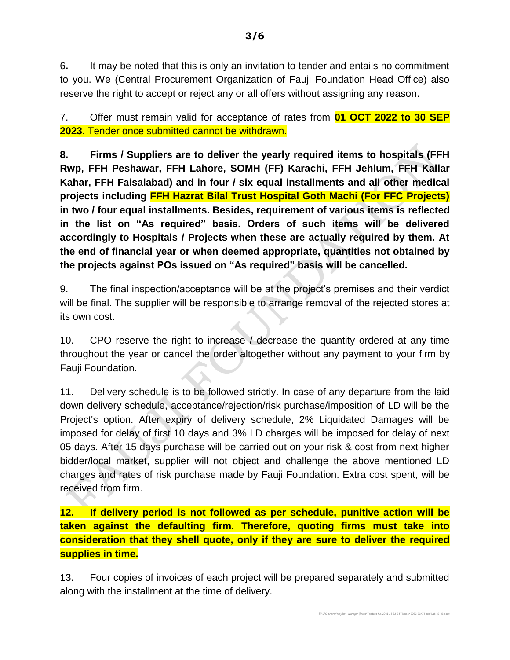6**.** It may be noted that this is only an invitation to tender and entails no commitment to you. We (Central Procurement Organization of Fauji Foundation Head Office) also reserve the right to accept or reject any or all offers without assigning any reason.

7. Offer must remain valid for acceptance of rates from **01 OCT 2022 to 30 SEP 2023**. Tender once submitted cannot be withdrawn.

**8. Firms / Suppliers are to deliver the yearly required items to hospitals (FFH Rwp, FFH Peshawar, FFH Lahore, SOMH (FF) Karachi, FFH Jehlum, FFH Kallar Kahar, FFH Faisalabad) and in four / six equal installments and all other medical projects including FFH Hazrat Bilal Trust Hospital Goth Machi (For FFC Projects) in two / four equal installments. Besides, requirement of various items is reflected in the list on "As required" basis. Orders of such items will be delivered accordingly to Hospitals / Projects when these are actually required by them. At the end of financial year or when deemed appropriate, quantities not obtained by the projects against POs issued on "As required" basis will be cancelled.**

9. The final inspection/acceptance will be at the project's premises and their verdict will be final. The supplier will be responsible to arrange removal of the rejected stores at its own cost.

10. CPO reserve the right to increase / decrease the quantity ordered at any time throughout the year or cancel the order altogether without any payment to your firm by Fauji Foundation.

11. Delivery schedule is to be followed strictly. In case of any departure from the laid down delivery schedule, acceptance/rejection/risk purchase/imposition of LD will be the Project's option. After expiry of delivery schedule, 2% Liquidated Damages will be imposed for delay of first 10 days and 3% LD charges will be imposed for delay of next 05 days. After 15 days purchase will be carried out on your risk & cost from next higher bidder/local market, supplier will not object and challenge the above mentioned LD charges and rates of risk purchase made by Fauji Foundation. Extra cost spent, will be received from firm.

**12. If delivery period is not followed as per schedule, punitive action will be taken against the defaulting firm. Therefore, quoting firms must take into consideration that they shell quote, only if they are sure to deliver the required supplies in time.**

13. Four copies of invoices of each project will be prepared separately and submitted along with the installment at the time of delivery.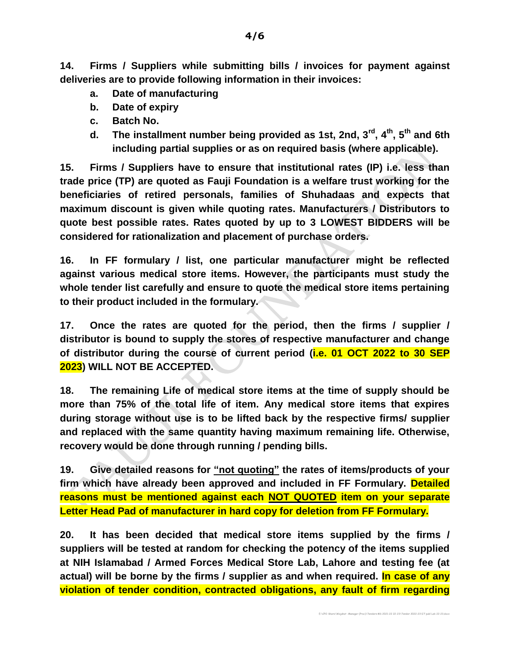**14. Firms / Suppliers while submitting bills / invoices for payment against deliveries are to provide following information in their invoices:**

- **a. Date of manufacturing**
- **b. Date of expiry**
- **c. Batch No.**
- **d. The installment number being provided as 1st, 2nd, 3rd , 4 th, 5th and 6th including partial supplies or as on required basis (where applicable).**

**15. Firms / Suppliers have to ensure that institutional rates (IP) i.e. less than trade price (TP) are quoted as Fauji Foundation is a welfare trust working for the beneficiaries of retired personals, families of Shuhadaas and expects that maximum discount is given while quoting rates. Manufacturers / Distributors to quote best possible rates. Rates quoted by up to 3 LOWEST BIDDERS will be considered for rationalization and placement of purchase orders.**

**16. In FF formulary / list, one particular manufacturer might be reflected against various medical store items. However, the participants must study the whole tender list carefully and ensure to quote the medical store items pertaining to their product included in the formulary.** 

**17. Once the rates are quoted for the period, then the firms / supplier / distributor is bound to supply the stores of respective manufacturer and change of distributor during the course of current period (i.e. 01 OCT 2022 to 30 SEP 2023) WILL NOT BE ACCEPTED.**

**18. The remaining Life of medical store items at the time of supply should be more than 75% of the total life of item. Any medical store items that expires during storage without use is to be lifted back by the respective firms/ supplier and replaced with the same quantity having maximum remaining life. Otherwise, recovery would be done through running / pending bills.**

**19. Give detailed reasons for "not quoting" the rates of items/products of your firm which have already been approved and included in FF Formulary. Detailed reasons must be mentioned against each NOT QUOTED item on your separate Letter Head Pad of manufacturer in hard copy for deletion from FF Formulary.**

**20. It has been decided that medical store items supplied by the firms / suppliers will be tested at random for checking the potency of the items supplied at NIH Islamabad / Armed Forces Medical Store Lab, Lahore and testing fee (at actual) will be borne by the firms / supplier as and when required. In case of any violation of tender condition, contracted obligations, any fault of firm regarding**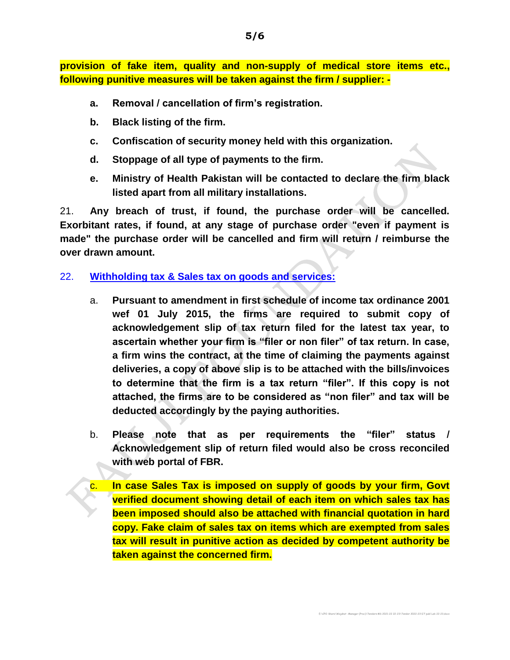**provision of fake item, quality and non-supply of medical store items etc., following punitive measures will be taken against the firm / supplier: -**

- **a. Removal / cancellation of firm's registration.**
- **b. Black listing of the firm.**
- **c. Confiscation of security money held with this organization.**
- **d. Stoppage of all type of payments to the firm.**
- **e. Ministry of Health Pakistan will be contacted to declare the firm black listed apart from all military installations.**

21. **Any breach of trust, if found, the purchase order will be cancelled. Exorbitant rates, if found, at any stage of purchase order "even if payment is made" the purchase order will be cancelled and firm will return / reimburse the over drawn amount.**

## 22. **Withholding tax & Sales tax on goods and services:**

- a. **Pursuant to amendment in first schedule of income tax ordinance 2001 wef 01 July 2015, the firms are required to submit copy of acknowledgement slip of tax return filed for the latest tax year, to ascertain whether your firm is "filer or non filer" of tax return. In case, a firm wins the contract, at the time of claiming the payments against deliveries, a copy of above slip is to be attached with the bills/invoices to determine that the firm is a tax return "filer". If this copy is not attached, the firms are to be considered as "non filer" and tax will be deducted accordingly by the paying authorities.**
- b. **Please note that as per requirements the "filer" status / Acknowledgement slip of return filed would also be cross reconciled with web portal of FBR.**
- c. **In case Sales Tax is imposed on supply of goods by your firm, Govt verified document showing detail of each item on which sales tax has been imposed should also be attached with financial quotation in hard copy. Fake claim of sales tax on items which are exempted from sales tax will result in punitive action as decided by competent authority be taken against the concerned firm.**